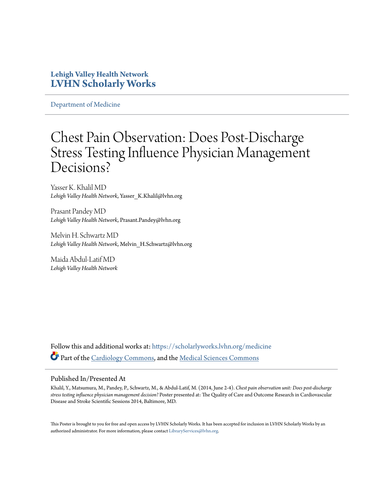### **Lehigh Valley Health Network [LVHN Scholarly Works](https://scholarlyworks.lvhn.org?utm_source=scholarlyworks.lvhn.org%2Fmedicine%2F471&utm_medium=PDF&utm_campaign=PDFCoverPages)**

[Department of Medicine](https://scholarlyworks.lvhn.org/medicine?utm_source=scholarlyworks.lvhn.org%2Fmedicine%2F471&utm_medium=PDF&utm_campaign=PDFCoverPages)

### Chest Pain Observation: Does Post-Discharge Stress Testing Influence Physician Management Decisions?

Yasser K. Khalil MD *Lehigh Valley Health Network*, Yasser\_K.Khalil@lvhn.org

Prasant Pandey MD *Lehigh Valley Health Network*, Prasant.Pandey@lvhn.org

Melvin H. Schwartz MD *Lehigh Valley Health Network*, Melvin\_H.Schwartz@lvhn.org

Maida Abdul-Latif MD *Lehigh Valley Health Network*

Follow this and additional works at: [https://scholarlyworks.lvhn.org/medicine](https://scholarlyworks.lvhn.org/medicine?utm_source=scholarlyworks.lvhn.org%2Fmedicine%2F471&utm_medium=PDF&utm_campaign=PDFCoverPages) Part of the [Cardiology Commons](http://network.bepress.com/hgg/discipline/683?utm_source=scholarlyworks.lvhn.org%2Fmedicine%2F471&utm_medium=PDF&utm_campaign=PDFCoverPages), and the [Medical Sciences Commons](http://network.bepress.com/hgg/discipline/664?utm_source=scholarlyworks.lvhn.org%2Fmedicine%2F471&utm_medium=PDF&utm_campaign=PDFCoverPages)

### Published In/Presented At

Khalil, Y., Matsumura, M., Pandey, P., Schwartz, M., & Abdul-Latif, M. (2014, June 2-4). *Chest pain observation unit: Does post-discharge stress testing influence physician management decision?* Poster presented at: The Quality of Care and Outcome Research in Cardiovascular Disease and Stroke Scientific Sessions 2014, Baltimore, MD.

This Poster is brought to you for free and open access by LVHN Scholarly Works. It has been accepted for inclusion in LVHN Scholarly Works by an authorized administrator. For more information, please contact [LibraryServices@lvhn.org.](mailto:LibraryServices@lvhn.org)